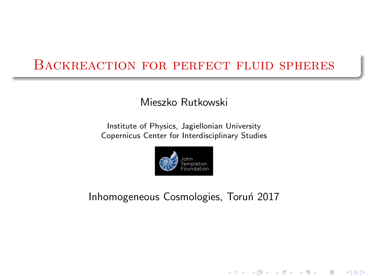#### <span id="page-0-0"></span>Backreaction for perfect fluid spheres

#### Mieszko Rutkowski

Institute of Physics, Jagiellonian University Copernicus Center for Interdisciplinary Studies



Inhomogeneous Cosmologies, Toruń 2017

(ロ) (個) (違) (違) (違)

 $299$ 

隱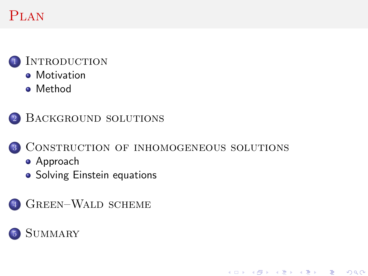# **PLAN**



INTRODUCTION

- **•** [Motivation](#page-2-0)
- **•** [Method](#page-3-0)



#### <sup>3</sup> [Construction of inhomogeneous solutions](#page-6-0)

メロト メ御い メ君 トメ 君 トッ 君

 $2Q$ 

- [Approach](#page-6-0)
- [Solving Einstein equations](#page-7-0)
- <sup>4</sup> [Green–Wald scheme](#page-10-0)

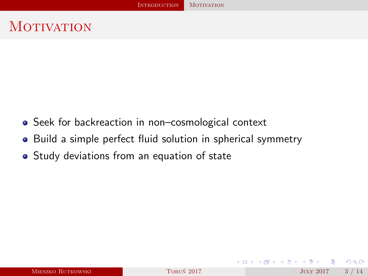# <span id="page-2-0"></span>**MOTIVATION**

- Seek for backreaction in non-cosmological context
- Build a simple perfect fluid solution in spherical symmetry
- **•** Study deviations from an equation of state

4 0 8

**GARAGE** 

 $QQQ$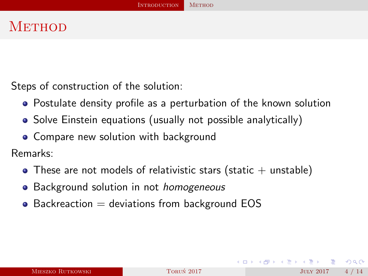## <span id="page-3-0"></span>**METHOD**

Steps of construction of the solution:

- Postulate density profile as a perturbation of the known solution
- Solve Einstein equations (usually not possible analytically)
- Compare new solution with background

Remarks:

- $\bullet$  These are not models of relativistic stars (static  $+$  unstable)
- Background solution in not *homogeneous*
- $\bullet$  Backreaction  $=$  deviations from background EOS

 $QQQ$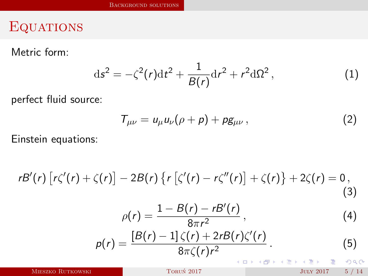### <span id="page-4-0"></span>**EQUATIONS**

Metric form:

$$
ds^{2} = -\zeta^{2}(r)dt^{2} + \frac{1}{B(r)}dr^{2} + r^{2}d\Omega^{2},
$$
 (1)

perfect fluid source:

<span id="page-4-1"></span>
$$
T_{\mu\nu} = u_{\mu}u_{\nu}(\rho + \rho) + \rho g_{\mu\nu} , \qquad (2)
$$

Einstein equations:

$$
rB'(r)\left[r\zeta'(r)+\zeta(r)\right]-2B(r)\left\{r\left[\zeta'(r)-r\zeta''(r)\right]+\zeta(r)\right\}+2\zeta(r)=0,
$$
\n(3)

$$
\rho(r) = \frac{1 - B(r) - rB'(r)}{8\pi r^2},\tag{4}
$$

$$
p(r) = \frac{[B(r)-1]\zeta(r)+2rB(r)\zeta'(r)}{8\pi\zeta(r)r^2}.
$$
\n(5)

MIESZKO RUTKOWSKI TORUN 2017 TORUN 2017 JULY 2017 5 / 14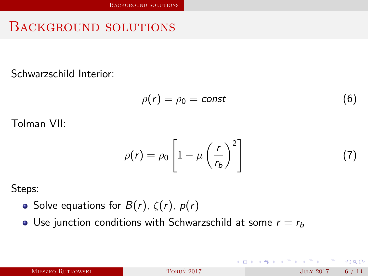#### <span id="page-5-0"></span>Background solutions

Schwarzschild Interior:

$$
\rho(r) = \rho_0 = \text{const} \tag{6}
$$

Tolman VII:

$$
\rho(r) = \rho_0 \left[ 1 - \mu \left( \frac{r}{r_b} \right)^2 \right] \tag{7}
$$

4 0 8

Steps:

- Solve equations for  $B(r)$ ,  $\zeta(r)$ ,  $p(r)$
- Use junction conditions with Schwarzschild at some  $r = r_b$

|  |  | MIESZKO RUTKOWSKI |
|--|--|-------------------|
|--|--|-------------------|

 $QQQ$ 

④ ヨ メ ④ ヨ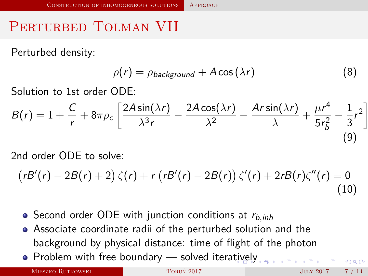# <span id="page-6-0"></span>PERTURBED TOLMAN VII

Perturbed density:

$$
\rho(r) = \rho_{background} + A\cos(\lambda r) \tag{8}
$$

Solution to 1st order ODE:

$$
B(r) = 1 + \frac{C}{r} + 8\pi\rho_c \left[ \frac{2A\sin(\lambda r)}{\lambda^3 r} - \frac{2A\cos(\lambda r)}{\lambda^2} - \frac{Ar\sin(\lambda r)}{\lambda} + \frac{\mu r^4}{5r_b^2} - \frac{1}{3}r^2 \right]
$$
\n(9)

2nd order ODE to solve:

$$
(rB'(r)-2B(r)+2)\zeta(r)+r\left(rB'(r)-2B(r)\right)\zeta'(r)+2rB(r)\zeta''(r)=0
$$
\n(10)

- $\bullet$  Second order ODE with junction conditions at  $r_{b,inh}$
- Associate coordinate radii of the perturbed solution and the background by physical distance: time of flight of the photon
- $\bullet$  Problem with free boundary solved itera[tiv](#page-5-0)[ely](#page-7-0)

MIESZKO RUTKOWSKI TORUŃ 2017 TORUŃ 2017 TORUŃ 2017 TORUŃ 2017 TORUŃ 2017 TORUŃ 2017 TORUŃ 2017 TORUŃ 2017 TORUŃ

 $QQ$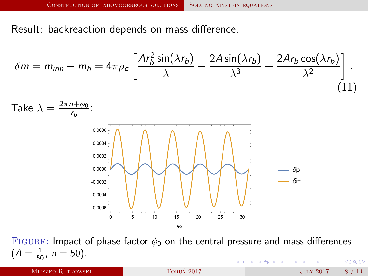<span id="page-7-0"></span>Result: backreaction depends on mass difference.

$$
\delta m = m_{inh} - m_h = 4\pi \rho_c \left[ \frac{Ar_b^2 \sin(\lambda r_b)}{\lambda} - \frac{2A \sin(\lambda r_b)}{\lambda^3} + \frac{2Ar_b \cos(\lambda r_b)}{\lambda^2} \right].
$$
\nTake  $\lambda = \frac{2\pi n + \phi_0}{r_b}$ :

\n
$$
\begin{bmatrix}\n\frac{0.0006}{0.0004} \\
0.0004 \\
0.0004 \\
0.0004\n\end{bmatrix}
$$
\nThese  $\lambda = \frac{2\pi n + \phi_0}{r_b}$ :

\n
$$
\begin{bmatrix}\n\frac{0.0006}{0.0004} \\
0.0004 \\
0.0004\n\end{bmatrix}
$$
\nThese  $\lambda = \frac{2\pi n + \phi_0}{r_b}$ :

\n
$$
\begin{bmatrix}\n\frac{0.0006}{0.0004} \\
0.0004 \\
0.0004\n\end{bmatrix}
$$
\nThese  $\lambda = \frac{2\pi n + \phi_0}{r_b}$ :

\n
$$
\begin{bmatrix}\n\frac{0.0006}{0.0004} \\
0.0004 \\
0.0004\n\end{bmatrix}
$$
\nThese  $\lambda = \frac{2\pi n + \phi_0}{r_b}$ :

\n
$$
\begin{bmatrix}\n\frac{0.0006}{0.0004} \\
0.0004 \\
0.0004\n\end{bmatrix}
$$
\nThese  $\lambda = \frac{2\pi n + \phi_0}{r_b}$ :

\nSince  $\lambda = \frac{2\pi n + \phi_0}{r_b}$  is the same as  $\lambda = \frac{2\pi n + \phi_0}{r_b}$ .

FIGURE: Impact of phase factor  $\phi_0$  on the central pressure and mass differences  $(A=\frac{1}{50}, n=50).$ イロン イ押ン イヨン イヨン 一重  $OQ$ 

MIESZKO RUTKOWSKI TORUŃ 2017 **TORUŃ 2017 JULY 2017** 8 / 14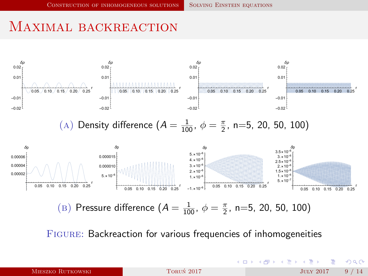## <span id="page-8-0"></span>MAXIMAL BACKREACTION



- 4 ヨ メ イヨ

 $($  D  $)$   $($   $\overline{m}$   $)$ 

 $290$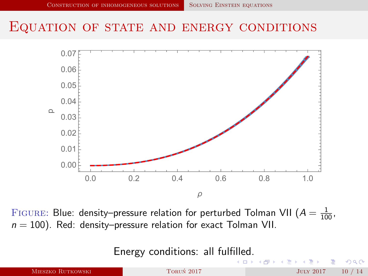#### <span id="page-9-0"></span>EQUATION OF STATE AND ENERGY CONDITIONS



FIGURE: Blue: density–pressure relation for perturbed Tolman VII ( $A=\frac{1}{100}$ ,  $n = 100$ ). Red: density–pressure relation for exact Tolman VII.

Energy conditions: all ful[fille](#page-8-0)[d.](#page-10-0)

|                   | --         | KED KARD KED KED E KARA |       |
|-------------------|------------|-------------------------|-------|
| MIESZKO RUTKOWSKI | TORUŃ 2017 | JULY 2017               | 10/14 |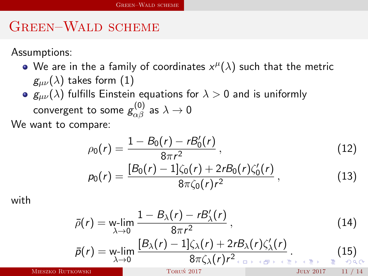# <span id="page-10-0"></span>Green–Wald scheme

Assumptions:

- We are in the a family of coordinates  $x^\mu(\lambda)$  such that the metric  $g_{\mu\nu}(\lambda)$  takes form [\(1\)](#page-4-1)
- $g_{\mu\nu}(\lambda)$  fulfills Einstein equations for  $\lambda > 0$  and is uniformly convergent to some  $g^{(0)}_{\alpha\beta}$  as  $\lambda\to 0$

We want to compare:

$$
\rho_0(r) = \frac{1 - B_0(r) - rB_0'(r)}{8\pi r^2},\qquad(12)
$$

$$
p_0(r) = \frac{[B_0(r) - 1]\zeta_0(r) + 2rB_0(r)\zeta'_0(r)}{8\pi\zeta_0(r)r^2},
$$
\n(13)

with

$$
\bar{\rho}(r) = \mathop{\text{w-lim}}\limits_{\lambda \to 0} \frac{1 - B_{\lambda}(r) - rB'_{\lambda}(r)}{8\pi r^2},
$$
\n
$$
\bar{\rho}(r) = \mathop{\text{w-lim}}\limits_{\lambda \to 0} \frac{[B_{\lambda}(r) - 1]\zeta_{\lambda}(r) + 2rB_{\lambda}(r)\zeta'_{\lambda}(r)}{8\pi \zeta_{\lambda}(r)r^2}
$$
\n
$$
(14)
$$
\n
$$
\bar{\rho}(r) = \mathop{\text{w-lim}}\limits_{\lambda \to 0} \frac{[B_{\lambda}(r) - 1]\zeta_{\lambda}(r) + 2rB_{\lambda}(r)\zeta'_{\lambda}(r)}{8\pi \zeta_{\lambda}(r)r^2}
$$

Mieszko Rutkowski [Torun 2017](#page-0-0) ´ July 2017 11 / 14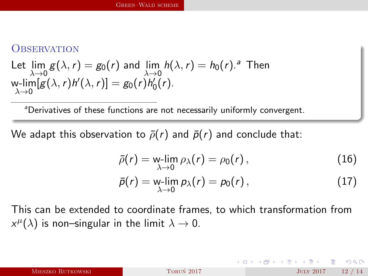#### <span id="page-11-0"></span>**OBSERVATION**

Let 
$$
\lim_{\lambda \to 0} g(\lambda, r) = g_0(r)
$$
 and  $\lim_{\lambda \to 0} h(\lambda, r) = h_0(r)$ .<sup>a</sup> Then  
w- $\lim_{\lambda \to 0} [g(\lambda, r)h'(\lambda, r)] = g_0(r)h'_0(r)$ .

<sup>a</sup>Derivatives of these functions are not necessarily uniformly convergent.

We adapt this observation to  $\bar{\rho}(r)$  and  $\bar{p}(r)$  and conclude that:

$$
\bar{\rho}(r) = \lim_{\lambda \to 0} \rho_{\lambda}(r) = \rho_0(r), \qquad (16)
$$

$$
\bar{p}(r) = \mathop{\mathrm{w-lim}}_{\lambda \to 0} p_{\lambda}(r) = p_0(r) , \qquad (17)
$$

This can be extended to coordinate frames, to which transformation from  $x^{\mu}(\lambda)$  is non–singular in the limit  $\lambda \to 0$ .

 $QQQ$ 

 $\mathcal{A} \xrightarrow{\sim} \mathcal{B} \xrightarrow{\sim} \mathcal{A} \xrightarrow{\sim} \mathcal{B} \xrightarrow{\sim}$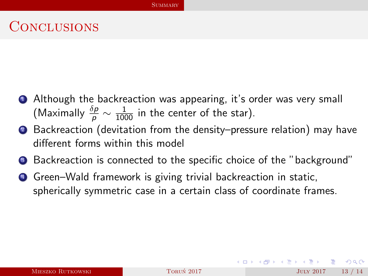## <span id="page-12-0"></span>**CONCLUSIONS**

- **1** Although the backreaction was appearing, it's order was very small (Maximally  $\frac{\delta p}{\rho} \sim \frac{1}{1000}$  in the center of the star).
- Backreaction (devitation from the density–pressure relation) may have different forms within this model
- **3** Backreaction is connected to the specific choice of the "background"
- **4** Green–Wald framework is giving trivial backreaction in static, spherically symmetric case in a certain class of coordinate frames.

 $\Omega$